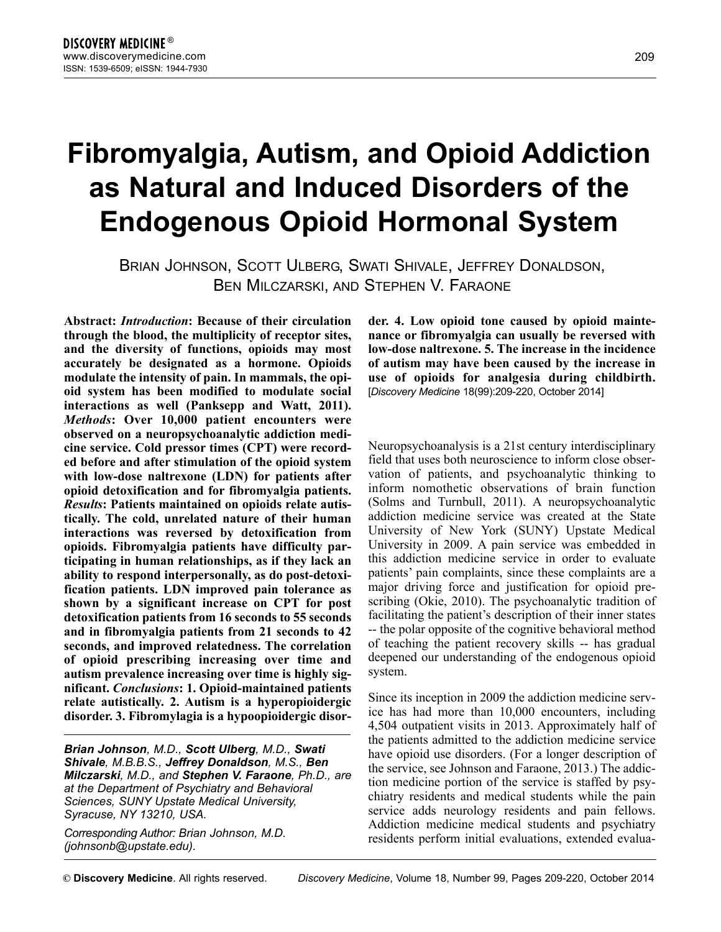# **Fibromyalgia, Autism, and Opioid Addiction as Natural and Induced Disorders of the Endogenous Opioid Hormonal System**

BRIAN JOHNSON, SCOTT ULBERG, SWATI SHIVALE, JEFFREY DONALDSON, BEN MILCZARSKI, AND STEPHEN V. FARAONE

**Abstract:** *Introduction***: Because of their circulation through the blood, the multiplicity of receptor sites, and the diversity of functions, opioids may most accurately be designated as a hormone. Opioids modulate the intensity of pain. In mammals, the opioid system has been modified to modulate social interactions as well (Panksepp and Watt, 2011).** *Methods***: Over 10,000 patient encounters were observed on a neuropsychoanalytic addiction medicine service. Cold pressor times (CPT) were recorded before and after stimulation of the opioid system with low-dose naltrexone (LDN) for patients after opioid detoxification and for fibromyalgia patients.** *Results***: Patients maintained on opioids relate autistically. The cold, unrelated nature of their human interactions was reversed by detoxification from opioids. Fibromyalgia patients have difficulty participating in human relationships, as if they lack an ability to respond interpersonally, as do post-detoxification patients. LDN improved pain tolerance as shown by a significant increase on CPT for post detoxification patients from 16 seconds to 55 seconds and in fibromyalgia patients from 21 seconds to 42 seconds, and improved relatedness. The correlation of opioid prescribing increasing over time and autism prevalence increasing over time is highly significant.** *Conclusions***: 1. Opioid-maintained patients relate autistically. 2. Autism is a hyperopioidergic disorder. 3. Fibromylagia is a hypoopioidergic disor-**

*Brian Johnson, M.D., Scott Ulberg, M.D., Swati Shivale, M.B.B.S., Jeffrey Donaldson, M.S., Ben Milczarski, M.D., and Stephen V. Faraone, Ph.D., are at the Department of Psychiatry and Behavioral Sciences, SUNY Upstate Medical University, Syracuse, NY 13210, USA.*

*Corresponding Author: Brian Johnson, M.D. (johnsonb@upstate.edu).*

**der. 4. Low opioid tone caused by opioid maintenance or fibromyalgia can usually be reversed with low-dose naltrexone. 5. The increase in the incidence of autism may have been caused by the increase in use of opioids for analgesia during childbirth.** [*[Discovery](http://www.discoverymedicine.com) Medicine* 18(99):209-220, october 2014]

Neuropsychoanalysis is a 21st century interdisciplinary field that uses both neuroscience to inform close observation of patients, and psychoanalytic thinking to inform nomothetic observations of brain function (Solms and Turnbull, 2011). A neuropsychoanalytic addiction medicine service was created at the State University of New York (SUNY) Upstate Medical University in 2009. A pain service was embedded in this addiction medicine service in order to evaluate patients' pain complaints, since these complaints are a major driving force and justification for opioid prescribing (Okie, 2010). The psychoanalytic tradition of facilitating the patient's description of their inner states -- the polar opposite of the cognitive behavioral method of teaching the patient recovery skills -- has gradual deepened our understanding of the endogenous opioid system.

Since its inception in 2009 the addiction medicine service has had more than 10,000 encounters, including 4,504 outpatient visits in 2013. Approximately half of the patients admitted to the addiction medicine service have opioid use disorders. (For a longer description of the service, see Johnson and Faraone, 2013.) The addiction medicine portion of the service is staffed by psychiatry residents and medical students while the pain service adds neurology residents and pain fellows. Addiction medicine medical students and psychiatry residents perform initial evaluations, extended evalua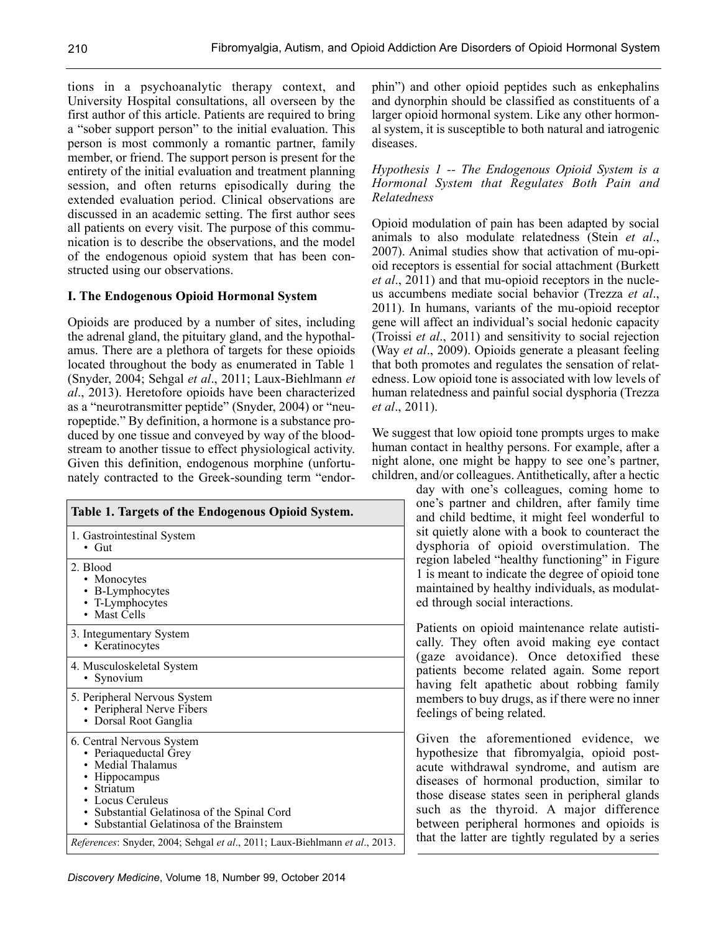tions in a psychoanalytic therapy context, and University Hospital consultations, all overseen by the first author of this article. Patients are required to bring a "sober support person" to the initial evaluation. This person is most commonly a romantic partner, family member, or friend. The support person is present for the entirety of the initial evaluation and treatment planning session, and often returns episodically during the extended evaluation period. Clinical observations are discussed in an academic setting. The first author sees all patients on every visit. The purpose of this communication is to describe the observations, and the model of the endogenous opioid system that has been constructed using our observations.

## **I. The Endogenous Opioid Hormonal System**

Opioids are produced by a number of sites, including the adrenal gland, the pituitary gland, and the hypothalamus. There are a plethora of targets for these opioids located throughout the body as enumerated in Table 1 (Snyder, 2004; Sehgal *et al*., 2011; Laux-Biehlmann *et al*., 2013). Heretofore opioids have been characterized as a "neurotransmitter peptide" (Snyder, 2004) or "neuropeptide." By definition, a hormone is a substance produced by one tissue and conveyed by way of the bloodstream to another tissue to effect physiological activity. Given this definition, endogenous morphine (unfortunately contracted to the Greek-sounding term "endor-

| Table 1. Targets of the Endogenous Opioid System.                                                                                                                                                                      |
|------------------------------------------------------------------------------------------------------------------------------------------------------------------------------------------------------------------------|
| 1. Gastrointestinal System<br>$\cdot$ Gut                                                                                                                                                                              |
| 2. Blood<br>• Monocytes<br>• B-Lymphocytes<br>• T-Lymphocytes<br>• Mast Cells                                                                                                                                          |
| 3. Integumentary System<br>• Keratinocytes                                                                                                                                                                             |
| 4. Musculoskeletal System<br>• Synovium                                                                                                                                                                                |
| 5. Peripheral Nervous System<br>• Peripheral Nerve Fibers<br>• Dorsal Root Ganglia                                                                                                                                     |
| 6. Central Nervous System<br>• Periaqueductal Grey<br>• Medial Thalamus<br>• Hippocampus<br>• Striatum<br>• Locus Ceruleus<br>• Substantial Gelatinosa of the Spinal Cord<br>• Substantial Gelatinosa of the Brainstem |
| References: Snyder, 2004; Sehgal et al., 2011; Laux-Biehlmann et al., 2013.                                                                                                                                            |

phin") and other opioid peptides such as enkephalins and dynorphin should be classified as constituents of a larger opioid hormonal system. Like any other hormonal system, it is susceptible to both natural and iatrogenic diseases.

## *Hypothesis 1 -- The Endogenous Opioid System is a Hormonal System that Regulates Both Pain and Relatedness*

Opioid modulation of pain has been adapted by social animals to also modulate relatedness (Stein *et al*., 2007). Animal studies show that activation of mu-opioid receptors is essential for social attachment (Burkett *et al*., 2011) and that mu-opioid receptors in the nucleus accumbens mediate social behavior (Trezza *et al*., 2011). In humans, variants of the mu-opioid receptor gene will affect an individual's social hedonic capacity (Troissi *et al*., 2011) and sensitivity to social rejection (Way *et al*., 2009). Opioids generate a pleasant feeling that both promotes and regulates the sensation of relatedness. Low opioid tone is associated with low levels of human relatedness and painful social dysphoria (Trezza *et al*., 2011).

We suggest that low opioid tone prompts urges to make human contact in healthy persons. For example, after a night alone, one might be happy to see one's partner, children, and/or colleagues. Antithetically, after a hectic

day with one's colleagues, coming home to one's partner and children, after family time and child bedtime, it might feel wonderful to sit quietly alone with a book to counteract the dysphoria of opioid overstimulation. The region labeled "healthy functioning" in Figure 1 is meant to indicate the degree of opioid tone maintained by healthy individuals, as modulated through social interactions.

Patients on opioid maintenance relate autistically. They often avoid making eye contact (gaze avoidance). Once detoxified these patients become related again. Some report having felt apathetic about robbing family members to buy drugs, as if there were no inner feelings of being related.

Given the aforementioned evidence, we hypothesize that fibromyalgia, opioid postacute withdrawal syndrome, and autism are diseases of hormonal production, similar to those disease states seen in peripheral glands such as the thyroid. A major difference between peripheral hormones and opioids is that the latter are tightly regulated by a series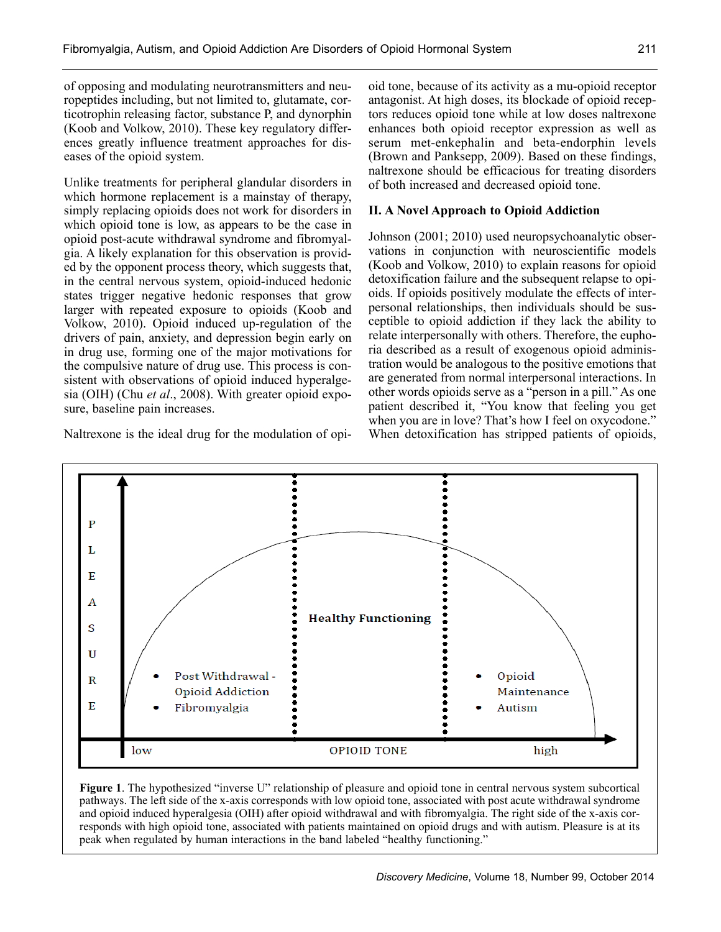of opposing and modulating neurotransmitters and neuropeptides including, but not limited to, glutamate, corticotrophin releasing factor, substance P, and dynorphin (Koob and Volkow, 2010). These key regulatory differences greatly influence treatment approaches for diseases of the opioid system.

Unlike treatments for peripheral glandular disorders in which hormone replacement is a mainstay of therapy, simply replacing opioids does not work for disorders in which opioid tone is low, as appears to be the case in opioid post-acute withdrawal syndrome and fibromyalgia. A likely explanation for this observation is provided by the opponent process theory, which suggests that, in the central nervous system, opioid-induced hedonic states trigger negative hedonic responses that grow larger with repeated exposure to opioids (Koob and Volkow, 2010). Opioid induced up-regulation of the drivers of pain, anxiety, and depression begin early on in drug use, forming one of the major motivations for the compulsive nature of drug use. This process is consistent with observations of opioid induced hyperalgesia (OIH) (Chu *et al*., 2008). With greater opioid exposure, baseline pain increases.

Naltrexone is the ideal drug for the modulation of opi-

oid tone, because of its activity as a mu-opioid receptor antagonist. At high doses, its blockade of opioid receptors reduces opioid tone while at low doses naltrexone enhances both opioid receptor expression as well as serum met-enkephalin and beta-endorphin levels (Brown and Panksepp, 2009). Based on these findings, naltrexone should be efficacious for treating disorders of both increased and decreased opioid tone.

## **II. A Novel Approach to Opioid Addiction**

Johnson (2001; 2010) used neuropsychoanalytic observations in conjunction with neuroscientific models (Koob and Volkow, 2010) to explain reasons for opioid detoxification failure and the subsequent relapse to opioids. If opioids positively modulate the effects of interpersonal relationships, then individuals should be susceptible to opioid addiction if they lack the ability to relate interpersonally with others. Therefore, the euphoria described as a result of exogenous opioid administration would be analogous to the positive emotions that are generated from normal interpersonal interactions. In other words opioids serve as a "person in a pill." As one patient described it, "You know that feeling you get when you are in love? That's how I feel on oxycodone." When detoxification has stripped patients of opioids,



**Figure 1**. The hypothesized "inverse U" relationship of pleasure and opioid tone in central nervous system subcortical pathways. The left side of the x-axis corresponds with low opioid tone, associated with post acute withdrawal syndrome and opioid induced hyperalgesia (OIH) after opioid withdrawal and with fibromyalgia. The right side of the x-axis corresponds with high opioid tone, associated with patients maintained on opioid drugs and with autism. Pleasure is at its peak when regulated by human interactions in the band labeled "healthy functioning."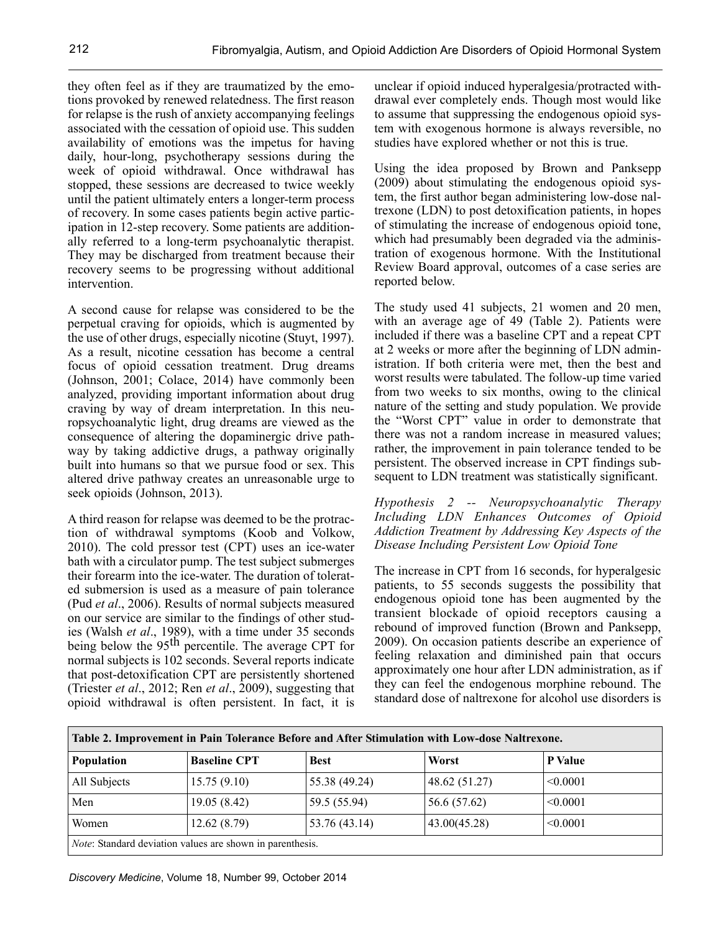they often feel as if they are traumatized by the emotions provoked by renewed relatedness. The first reason for relapse is the rush of anxiety accompanying feelings associated with the cessation of opioid use. This sudden availability of emotions was the impetus for having daily, hour-long, psychotherapy sessions during the week of opioid withdrawal. Once withdrawal has stopped, these sessions are decreased to twice weekly until the patient ultimately enters a longer-term process of recovery. In some cases patients begin active participation in 12-step recovery. Some patients are additionally referred to a long-term psychoanalytic therapist. They may be discharged from treatment because their recovery seems to be progressing without additional intervention.

A second cause for relapse was considered to be the perpetual craving for opioids, which is augmented by the use of other drugs, especially nicotine (Stuyt, 1997). As a result, nicotine cessation has become a central focus of opioid cessation treatment. Drug dreams (Johnson, 2001; Colace, 2014) have commonly been analyzed, providing important information about drug craving by way of dream interpretation. In this neuropsychoanalytic light, drug dreams are viewed as the consequence of altering the dopaminergic drive pathway by taking addictive drugs, a pathway originally built into humans so that we pursue food or sex. This altered drive pathway creates an unreasonable urge to seek opioids (Johnson, 2013).

A third reason for relapse was deemed to be the protraction of withdrawal symptoms (Koob and Volkow, 2010). The cold pressor test (CPT) uses an ice-water bath with a circulator pump. The test subject submerges their forearm into the ice-water. The duration of tolerated submersion is used as a measure of pain tolerance (Pud *et al*., 2006). Results of normal subjects measured on our service are similar to the findings of other studies (Walsh *et al*., 1989), with a time under 35 seconds being below the 95<sup>th</sup> percentile. The average CPT for normal subjects is 102 seconds. Several reports indicate that post-detoxification CPT are persistently shortened (Triester *et al*., 2012; Ren *et al*., 2009), suggesting that opioid withdrawal is often persistent. In fact, it is

unclear if opioid induced hyperalgesia/protracted withdrawal ever completely ends. Though most would like to assume that suppressing the endogenous opioid system with exogenous hormone is always reversible, no studies have explored whether or not this is true.

Using the idea proposed by Brown and Panksepp (2009) about stimulating the endogenous opioid system, the first author began administering low-dose naltrexone (LDN) to post detoxification patients, in hopes of stimulating the increase of endogenous opioid tone, which had presumably been degraded via the administration of exogenous hormone. With the Institutional Review Board approval, outcomes of a case series are reported below.

The study used 41 subjects, 21 women and 20 men, with an average age of 49 (Table 2). Patients were included if there was a baseline CPT and a repeat CPT at 2 weeks or more after the beginning of LDN administration. If both criteria were met, then the best and worst results were tabulated. The follow-up time varied from two weeks to six months, owing to the clinical nature of the setting and study population. We provide the "Worst CPT" value in order to demonstrate that there was not a random increase in measured values; rather, the improvement in pain tolerance tended to be persistent. The observed increase in CPT findings subsequent to LDN treatment was statistically significant.

## *Hypothesis 2 -- Neuropsychoanalytic Therapy Including LDN Enhances Outcomes of Opioid Addiction Treatment by Addressing Key Aspects of the Disease Including Persistent Low Opioid Tone*

The increase in CPT from 16 seconds, for hyperalgesic patients, to 55 seconds suggests the possibility that endogenous opioid tone has been augmented by the transient blockade of opioid receptors causing a rebound of improved function (Brown and Panksepp, 2009). On occasion patients describe an experience of feeling relaxation and diminished pain that occurs approximately one hour after LDN administration, as if they can feel the endogenous morphine rebound. The standard dose of naltrexone for alcohol use disorders is

| Table 2. Improvement in Pain Tolerance Before and After Stimulation with Low-dose Naltrexone. |                     |               |               |                |  |
|-----------------------------------------------------------------------------------------------|---------------------|---------------|---------------|----------------|--|
| <b>Population</b>                                                                             | <b>Baseline CPT</b> | <b>Best</b>   | Worst         | <b>P</b> Value |  |
| All Subjects                                                                                  | 15.75(9.10)         | 55.38 (49.24) | 48.62 (51.27) | < 0.0001       |  |
| Men                                                                                           | 19.05(8.42)         | 59.5 (55.94)  | 56.6 (57.62)  | < 0.0001       |  |
| Women                                                                                         | 12.62(8.79)         | 53.76 (43.14) | 43.00(45.28)  | < 0.0001       |  |
| <i>Note:</i> Standard deviation values are shown in parenthesis.                              |                     |               |               |                |  |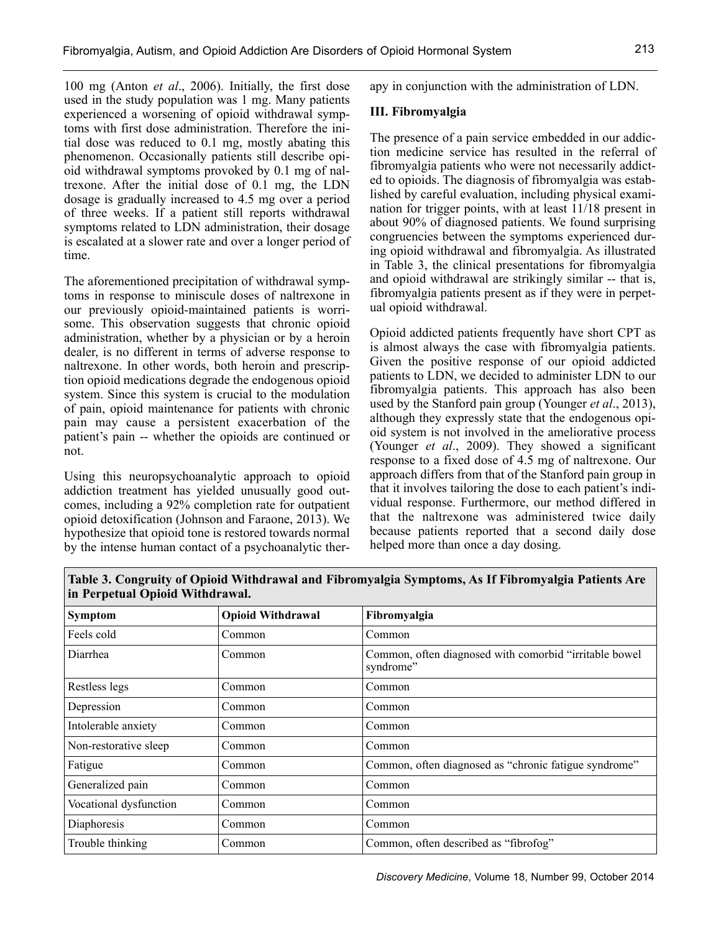100 mg (Anton *et al*., 2006). Initially, the first dose used in the study population was 1 mg. Many patients experienced a worsening of opioid withdrawal symptoms with first dose administration. Therefore the initial dose was reduced to 0.1 mg, mostly abating this phenomenon. Occasionally patients still describe opioid withdrawal symptoms provoked by 0.1 mg of naltrexone. After the initial dose of 0.1 mg, the LDN dosage is gradually increased to 4.5 mg over a period of three weeks. If a patient still reports withdrawal symptoms related to LDN administration, their dosage is escalated at a slower rate and over a longer period of time.

The aforementioned precipitation of withdrawal symptoms in response to miniscule doses of naltrexone in our previously opioid-maintained patients is worrisome. This observation suggests that chronic opioid administration, whether by a physician or by a heroin dealer, is no different in terms of adverse response to naltrexone. In other words, both heroin and prescription opioid medications degrade the endogenous opioid system. Since this system is crucial to the modulation of pain, opioid maintenance for patients with chronic pain may cause a persistent exacerbation of the patient's pain -- whether the opioids are continued or not.

Using this neuropsychoanalytic approach to opioid addiction treatment has yielded unusually good outcomes, including a 92% completion rate for outpatient opioid detoxification (Johnson and Faraone, 2013). We hypothesize that opioid tone is restored towards normal by the intense human contact of a psychoanalytic therapy in conjunction with the administration of LDN.

## **III. Fibromyalgia**

The presence of a pain service embedded in our addiction medicine service has resulted in the referral of fibromyalgia patients who were not necessarily addicted to opioids. The diagnosis of fibromyalgia was established by careful evaluation, including physical examination for trigger points, with at least 11/18 present in about 90% of diagnosed patients. We found surprising congruencies between the symptoms experienced during opioid withdrawal and fibromyalgia. As illustrated in Table 3, the clinical presentations for fibromyalgia and opioid withdrawal are strikingly similar -- that is, fibromyalgia patients present as if they were in perpetual opioid withdrawal.

Opioid addicted patients frequently have short CPT as is almost always the case with fibromyalgia patients. Given the positive response of our opioid addicted patients to LDN, we decided to administer LDN to our fibromyalgia patients. This approach has also been used by the Stanford pain group (Younger *et al*., 2013), although they expressly state that the endogenous opioid system is not involved in the ameliorative process (Younger *et al*., 2009). They showed a significant response to a fixed dose of 4.5 mg of naltrexone. Our approach differs from that of the Stanford pain group in that it involves tailoring the dose to each patient's individual response. Furthermore, our method differed in that the naltrexone was administered twice daily because patients reported that a second daily dose helped more than once a day dosing.

| <b>Symptom</b>         | <b>Opioid Withdrawal</b> | Fibromyalgia                                                         |  |  |
|------------------------|--------------------------|----------------------------------------------------------------------|--|--|
| Feels cold             | Common                   | Common                                                               |  |  |
| Diarrhea               | Common                   | Common, often diagnosed with comorbid "irritable bowel"<br>syndrome" |  |  |
| Restless legs          | Common                   | Common                                                               |  |  |
| Depression             | Common                   | Common                                                               |  |  |
| Intolerable anxiety    | Common                   | Common                                                               |  |  |
| Non-restorative sleep  | Common                   | Common                                                               |  |  |
| Fatigue                | Common                   | Common, often diagnosed as "chronic fatigue syndrome"                |  |  |
| Generalized pain       | Common                   | Common                                                               |  |  |
| Vocational dysfunction | Common                   | Common                                                               |  |  |
| Diaphoresis            | Common                   | Common                                                               |  |  |
| Trouble thinking       | Common                   | Common, often described as "fibrofog"                                |  |  |

**Table 3. Congruity of Opioid Withdrawal and Fibromyalgia Symptoms, As If Fibromyalgia Patients Are in Perpetual Opioid Withdrawal.**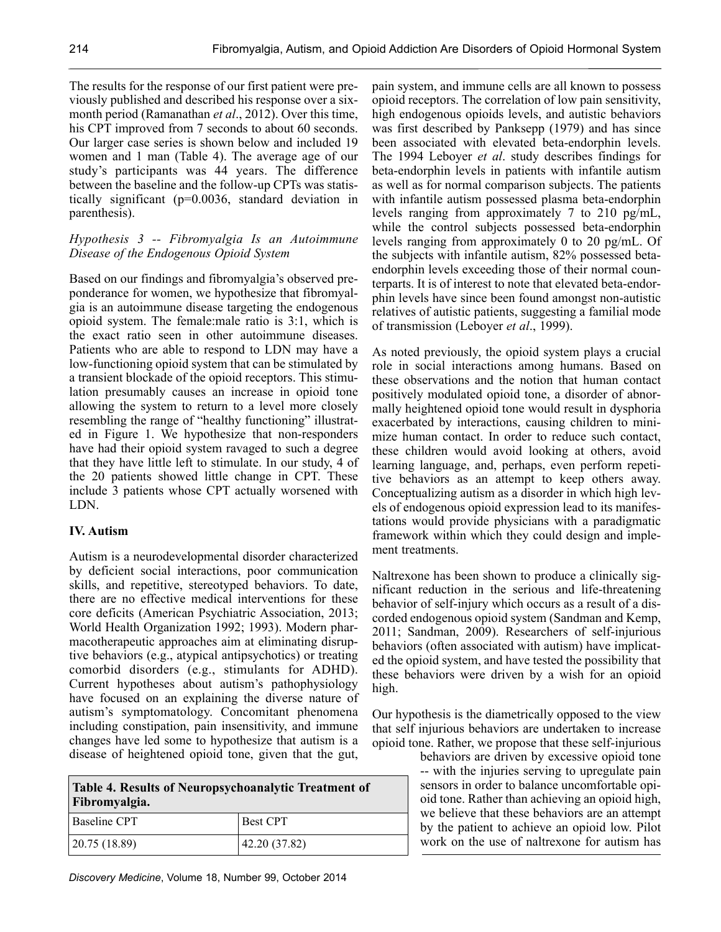The results for the response of our first patient were previously published and described his response over a sixmonth period (Ramanathan *et al*., 2012). Over this time, his CPT improved from 7 seconds to about 60 seconds. Our larger case series is shown below and included 19 women and 1 man (Table 4). The average age of our study's participants was 44 years. The difference between the baseline and the follow-up CPTs was statistically significant (p=0.0036, standard deviation in parenthesis).

## *Hypothesis 3 -- Fibromyalgia Is an Autoimmune Disease of the Endogenous Opioid System*

Based on our findings and fibromyalgia's observed preponderance for women, we hypothesize that fibromyalgia is an autoimmune disease targeting the endogenous opioid system. The female:male ratio is 3:1, which is the exact ratio seen in other autoimmune diseases. Patients who are able to respond to LDN may have a low-functioning opioid system that can be stimulated by a transient blockade of the opioid receptors. This stimulation presumably causes an increase in opioid tone allowing the system to return to a level more closely resembling the range of "healthy functioning" illustrated in Figure 1. We hypothesize that non-responders have had their opioid system ravaged to such a degree that they have little left to stimulate. In our study, 4 of the 20 patients showed little change in CPT. These include 3 patients whose CPT actually worsened with LDN.

# **IV. Autism**

Autism is a neurodevelopmental disorder characterized by deficient social interactions, poor communication skills, and repetitive, stereotyped behaviors. To date, there are no effective medical interventions for these core deficits (American Psychiatric Association, 2013; World Health Organization 1992; 1993). Modern pharmacotherapeutic approaches aim at eliminating disruptive behaviors (e.g., atypical antipsychotics) or treating comorbid disorders (e.g., stimulants for ADHD). Current hypotheses about autism's pathophysiology have focused on an explaining the diverse nature of autism's symptomatology. Concomitant phenomena including constipation, pain insensitivity, and immune changes have led some to hypothesize that autism is a disease of heightened opioid tone, given that the gut,

**Table 4. Results of Neuropsychoanalytic Treatment of Fibromyalgia.**

| $\overline{ }$ |                 |
|----------------|-----------------|
| Baseline CPT   | <b>Best CPT</b> |
| 20.75(18.89)   | 42.20 (37.82)   |

pain system, and immune cells are all known to possess opioid receptors. The correlation of low pain sensitivity, high endogenous opioids levels, and autistic behaviors was first described by Panksepp (1979) and has since been associated with elevated beta-endorphin levels. The 1994 Leboyer *et al*. study describes findings for beta-endorphin levels in patients with infantile autism as well as for normal comparison subjects. The patients with infantile autism possessed plasma beta-endorphin levels ranging from approximately 7 to 210 pg/mL, while the control subjects possessed beta-endorphin levels ranging from approximately 0 to 20 pg/mL. Of the subjects with infantile autism, 82% possessed betaendorphin levels exceeding those of their normal counterparts. It is of interest to note that elevated beta-endorphin levels have since been found amongst non-autistic relatives of autistic patients, suggesting a familial mode of transmission (Leboyer *et al*., 1999).

As noted previously, the opioid system plays a crucial role in social interactions among humans. Based on these observations and the notion that human contact positively modulated opioid tone, a disorder of abnormally heightened opioid tone would result in dysphoria exacerbated by interactions, causing children to minimize human contact. In order to reduce such contact, these children would avoid looking at others, avoid learning language, and, perhaps, even perform repetitive behaviors as an attempt to keep others away. Conceptualizing autism as a disorder in which high levels of endogenous opioid expression lead to its manifestations would provide physicians with a paradigmatic framework within which they could design and implement treatments.

Naltrexone has been shown to produce a clinically significant reduction in the serious and life-threatening behavior of self-injury which occurs as a result of a discorded endogenous opioid system (Sandman and Kemp, 2011; Sandman, 2009). Researchers of self-injurious behaviors (often associated with autism) have implicated the opioid system, and have tested the possibility that these behaviors were driven by a wish for an opioid high.

Our hypothesis is the diametrically opposed to the view that self injurious behaviors are undertaken to increase opioid tone. Rather, we propose that these self-injurious

> behaviors are driven by excessive opioid tone -- with the injuries serving to upregulate pain sensors in order to balance uncomfortable opioid tone. Rather than achieving an opioid high, we believe that these behaviors are an attempt by the patient to achieve an opioid low. Pilot work on the use of naltrexone for autism has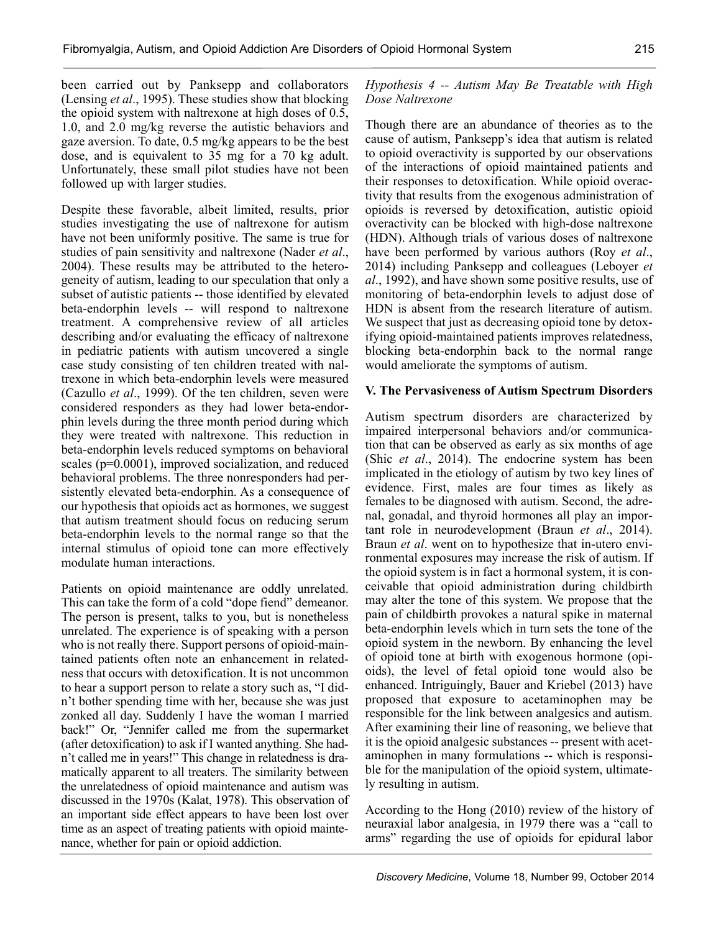been carried out by Panksepp and collaborators (Lensing *et al*., 1995). These studies show that blocking the opioid system with naltrexone at high doses of 0.5, 1.0, and 2.0 mg/kg reverse the autistic behaviors and gaze aversion. To date, 0.5 mg/kg appears to be the best dose, and is equivalent to 35 mg for a 70 kg adult. Unfortunately, these small pilot studies have not been followed up with larger studies.

Despite these favorable, albeit limited, results, prior studies investigating the use of naltrexone for autism have not been uniformly positive. The same is true for studies of pain sensitivity and naltrexone (Nader *et al*., 2004). These results may be attributed to the heterogeneity of autism, leading to our speculation that only a subset of autistic patients -- those identified by elevated beta-endorphin levels -- will respond to naltrexone treatment. A comprehensive review of all articles describing and/or evaluating the efficacy of naltrexone in pediatric patients with autism uncovered a single case study consisting of ten children treated with naltrexone in which beta-endorphin levels were measured (Cazullo *et al*., 1999). Of the ten children, seven were considered responders as they had lower beta-endorphin levels during the three month period during which they were treated with naltrexone. This reduction in beta-endorphin levels reduced symptoms on behavioral scales (p=0.0001), improved socialization, and reduced behavioral problems. The three nonresponders had persistently elevated beta-endorphin. As a consequence of our hypothesis that opioids act as hormones, we suggest that autism treatment should focus on reducing serum beta-endorphin levels to the normal range so that the internal stimulus of opioid tone can more effectively modulate human interactions.

Patients on opioid maintenance are oddly unrelated. This can take the form of a cold "dope fiend" demeanor. The person is present, talks to you, but is nonetheless unrelated. The experience is of speaking with a person who is not really there. Support persons of opioid-maintained patients often note an enhancement in relatedness that occurs with detoxification. It is not uncommon to hear a support person to relate a story such as, "I didn't bother spending time with her, because she was just zonked all day. Suddenly I have the woman I married back!" Or, "Jennifer called me from the supermarket (after detoxification) to ask if I wanted anything. She hadn't called me in years!" This change in relatedness is dramatically apparent to all treaters. The similarity between the unrelatedness of opioid maintenance and autism was discussed in the 1970s (Kalat, 1978). This observation of an important side effect appears to have been lost over time as an aspect of treating patients with opioid maintenance, whether for pain or opioid addiction.

*Hypothesis 4 -- Autism May Be Treatable with High Dose Naltrexone*

Though there are an abundance of theories as to the cause of autism, Panksepp's idea that autism is related to opioid overactivity is supported by our observations of the interactions of opioid maintained patients and their responses to detoxification. While opioid overactivity that results from the exogenous administration of opioids is reversed by detoxification, autistic opioid overactivity can be blocked with high-dose naltrexone (HDN). Although trials of various doses of naltrexone have been performed by various authors (Roy *et al*., 2014) including Panksepp and colleagues (Leboyer *et al*., 1992), and have shown some positive results, use of monitoring of beta-endorphin levels to adjust dose of HDN is absent from the research literature of autism. We suspect that just as decreasing opioid tone by detoxifying opioid-maintained patients improves relatedness, blocking beta-endorphin back to the normal range would ameliorate the symptoms of autism.

## **V. The Pervasiveness of Autism Spectrum Disorders**

Autism spectrum disorders are characterized by impaired interpersonal behaviors and/or communication that can be observed as early as six months of age (Shic *et al*., 2014). The endocrine system has been implicated in the etiology of autism by two key lines of evidence. First, males are four times as likely as females to be diagnosed with autism. Second, the adrenal, gonadal, and thyroid hormones all play an important role in neurodevelopment (Braun *et al*., 2014). Braun *et al*. went on to hypothesize that in-utero environmental exposures may increase the risk of autism. If the opioid system is in fact a hormonal system, it is conceivable that opioid administration during childbirth may alter the tone of this system. We propose that the pain of childbirth provokes a natural spike in maternal beta-endorphin levels which in turn sets the tone of the opioid system in the newborn. By enhancing the level of opioid tone at birth with exogenous hormone (opioids), the level of fetal opioid tone would also be enhanced. Intriguingly, Bauer and Kriebel (2013) have proposed that exposure to acetaminophen may be responsible for the link between analgesics and autism. After examining their line of reasoning, we believe that it is the opioid analgesic substances -- present with acetaminophen in many formulations -- which is responsible for the manipulation of the opioid system, ultimately resulting in autism.

According to the Hong (2010) review of the history of neuraxial labor analgesia, in 1979 there was a "call to arms" regarding the use of opioids for epidural labor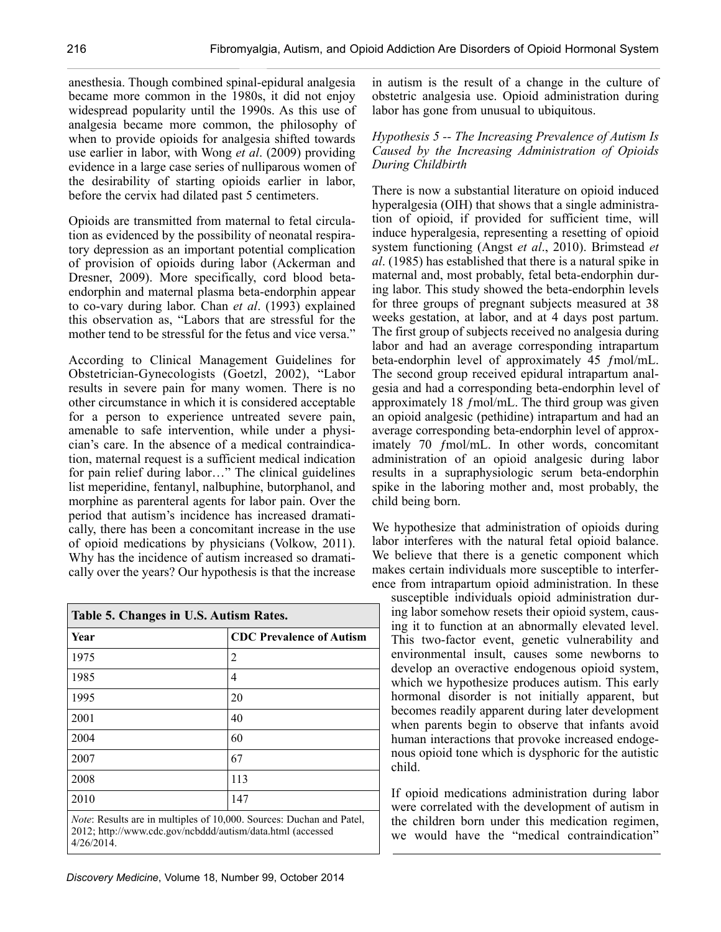anesthesia. Though combined spinal-epidural analgesia became more common in the 1980s, it did not enjoy widespread popularity until the 1990s. As this use of analgesia became more common, the philosophy of when to provide opioids for analgesia shifted towards use earlier in labor, with Wong *et al*. (2009) providing evidence in a large case series of nulliparous women of the desirability of starting opioids earlier in labor, before the cervix had dilated past 5 centimeters.

Opioids are transmitted from maternal to fetal circulation as evidenced by the possibility of neonatal respiratory depression as an important potential complication of provision of opioids during labor (Ackerman and Dresner, 2009). More specifically, cord blood betaendorphin and maternal plasma beta-endorphin appear to co-vary during labor. Chan *et al*. (1993) explained this observation as, "Labors that are stressful for the mother tend to be stressful for the fetus and vice versa."

According to Clinical Management Guidelines for Obstetrician-Gynecologists (Goetzl, 2002), "Labor results in severe pain for many women. There is no other circumstance in which it is considered acceptable for a person to experience untreated severe pain, amenable to safe intervention, while under a physician's care. In the absence of a medical contraindication, maternal request is a sufficient medical indication for pain relief during labor…" The clinical guidelines list meperidine, fentanyl, nalbuphine, butorphanol, and morphine as parenteral agents for labor pain. Over the period that autism's incidence has increased dramatically, there has been a concomitant increase in the use of opioid medications by physicians (Volkow, 2011). Why has the incidence of autism increased so dramatically over the years? Our hypothesis is that the increase

| Table 5. Changes in U.S. Autism Rates.                                                                                                                     |                                 |  |
|------------------------------------------------------------------------------------------------------------------------------------------------------------|---------------------------------|--|
| Year                                                                                                                                                       | <b>CDC</b> Prevalence of Autism |  |
| 1975                                                                                                                                                       | $\overline{2}$                  |  |
| 1985                                                                                                                                                       | 4                               |  |
| 1995                                                                                                                                                       | 20                              |  |
| 2001                                                                                                                                                       | 40                              |  |
| 2004                                                                                                                                                       | 60                              |  |
| 2007                                                                                                                                                       | 67                              |  |
| 2008                                                                                                                                                       | 113                             |  |
| 2010                                                                                                                                                       | 147                             |  |
| <i>Note:</i> Results are in multiples of 10,000. Sources: Duchan and Patel,<br>2012; http://www.cdc.gov/ncbddd/autism/data.html (accessed<br>$4/26/2014$ . |                                 |  |

*[Discovery](http://www.discoverymedicine.com) Medicine*, volume 18, Number 99, october 2014

in autism is the result of a change in the culture of obstetric analgesia use. Opioid administration during labor has gone from unusual to ubiquitous.

## *Hypothesis 5 -- The Increasing Prevalence of Autism Is Caused by the Increasing Administration of Opioids During Childbirth*

There is now a substantial literature on opioid induced hyperalgesia (OIH) that shows that a single administration of opioid, if provided for sufficient time, will induce hyperalgesia, representing a resetting of opioid system functioning (Angst *et al*., 2010). Brimstead *et al*. (1985) has established that there is a natural spike in maternal and, most probably, fetal beta-endorphin during labor. This study showed the beta-endorphin levels for three groups of pregnant subjects measured at 38 weeks gestation, at labor, and at 4 days post partum. The first group of subjects received no analgesia during labor and had an average corresponding intrapartum beta-endorphin level of approximately 45  $fmol/mL$ . The second group received epidural intrapartum analgesia and had a corresponding beta-endorphin level of approximately 18 ƒmol/mL. The third group was given an opioid analgesic (pethidine) intrapartum and had an average corresponding beta-endorphin level of approximately 70 ƒmol/mL. In other words, concomitant administration of an opioid analgesic during labor results in a supraphysiologic serum beta-endorphin spike in the laboring mother and, most probably, the child being born.

We hypothesize that administration of opioids during labor interferes with the natural fetal opioid balance. We believe that there is a genetic component which makes certain individuals more susceptible to interference from intrapartum opioid administration. In these

susceptible individuals opioid administration during labor somehow resets their opioid system, causing it to function at an abnormally elevated level. This two-factor event, genetic vulnerability and environmental insult, causes some newborns to develop an overactive endogenous opioid system, which we hypothesize produces autism. This early hormonal disorder is not initially apparent, but becomes readily apparent during later development when parents begin to observe that infants avoid human interactions that provoke increased endogenous opioid tone which is dysphoric for the autistic child.

If opioid medications administration during labor were correlated with the development of autism in the children born under this medication regimen, we would have the "medical contraindication"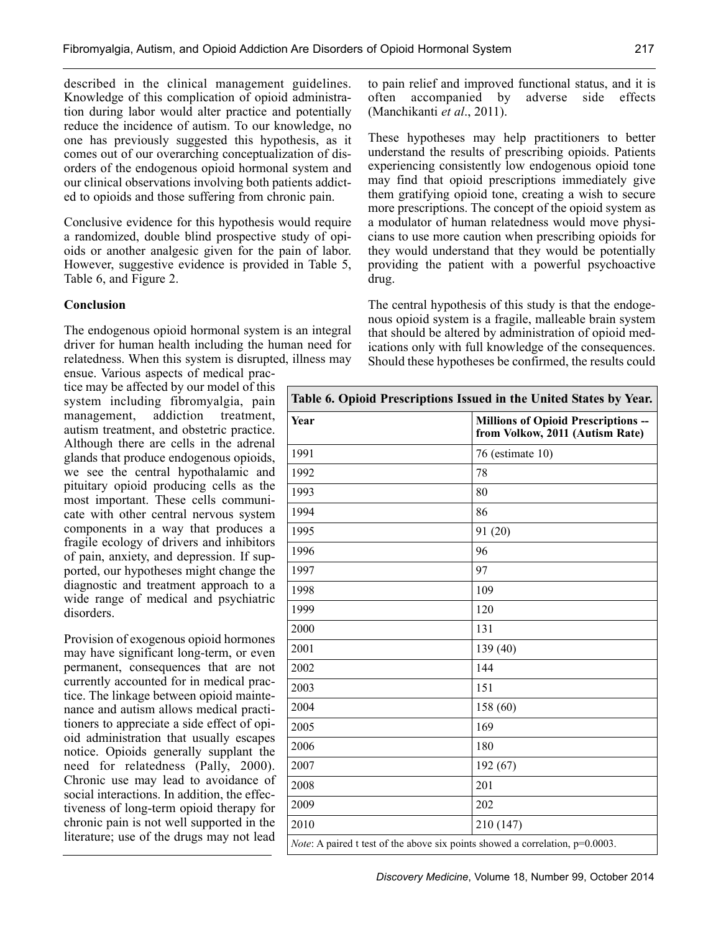described in the clinical management guidelines. Knowledge of this complication of opioid administration during labor would alter practice and potentially reduce the incidence of autism. To our knowledge, no one has previously suggested this hypothesis, as it comes out of our overarching conceptualization of disorders of the endogenous opioid hormonal system and our clinical observations involving both patients addicted to opioids and those suffering from chronic pain.

Conclusive evidence for this hypothesis would require a randomized, double blind prospective study of opioids or another analgesic given for the pain of labor. However, suggestive evidence is provided in Table 5, Table 6, and Figure 2.

## **Conclusion**

The endogenous opioid hormonal system is an integral driver for human health including the human need for relatedness. When this system is disrupted, illness may

ensue. Various aspects of medical practice may be affected by our model of this system including fibromyalgia, pain management, addiction treatment, autism treatment, and obstetric practice. Although there are cells in the adrenal glands that produce endogenous opioids, we see the central hypothalamic and pituitary opioid producing cells as the most important. These cells communicate with other central nervous system components in a way that produces a fragile ecology of drivers and inhibitors of pain, anxiety, and depression. If supported, our hypotheses might change the diagnostic and treatment approach to a wide range of medical and psychiatric disorders.

Provision of exogenous opioid hormones may have significant long-term, or even permanent, consequences that are not currently accounted for in medical practice. The linkage between opioid maintenance and autism allows medical practitioners to appreciate a side effect of opioid administration that usually escapes notice. Opioids generally supplant the need for relatedness (Pally, 2000). Chronic use may lead to avoidance of social interactions. In addition, the effectiveness of long-term opioid therapy for chronic pain is not well supported in the literature; use of the drugs may not lead

to pain relief and improved functional status, and it is often accompanied by adverse side effects (Manchikanti *et al*., 2011).

These hypotheses may help practitioners to better understand the results of prescribing opioids. Patients experiencing consistently low endogenous opioid tone may find that opioid prescriptions immediately give them gratifying opioid tone, creating a wish to secure more prescriptions. The concept of the opioid system as a modulator of human relatedness would move physicians to use more caution when prescribing opioids for they would understand that they would be potentially providing the patient with a powerful psychoactive drug.

The central hypothesis of this study is that the endogenous opioid system is a fragile, malleable brain system that should be altered by administration of opioid medications only with full knowledge of the consequences. Should these hypotheses be confirmed, the results could

| Table 6. Opioid Prescriptions Issued in the United States by Year.                      |                                                                               |  |
|-----------------------------------------------------------------------------------------|-------------------------------------------------------------------------------|--|
| Year                                                                                    | <b>Millions of Opioid Prescriptions --</b><br>from Volkow, 2011 (Autism Rate) |  |
| 1991                                                                                    | 76 (estimate 10)                                                              |  |
| 1992                                                                                    | 78                                                                            |  |
| 1993                                                                                    | 80                                                                            |  |
| 1994                                                                                    | 86                                                                            |  |
| 1995                                                                                    | 91 (20)                                                                       |  |
| 1996                                                                                    | 96                                                                            |  |
| 1997                                                                                    | 97                                                                            |  |
| 1998                                                                                    | 109                                                                           |  |
| 1999                                                                                    | 120                                                                           |  |
| 2000                                                                                    | 131                                                                           |  |
| 2001                                                                                    | 139(40)                                                                       |  |
| 2002                                                                                    | 144                                                                           |  |
| 2003                                                                                    | 151                                                                           |  |
| 2004                                                                                    | 158 (60)                                                                      |  |
| 2005                                                                                    | 169                                                                           |  |
| 2006                                                                                    | 180                                                                           |  |
| 2007                                                                                    | 192(67)                                                                       |  |
| 2008                                                                                    | 201                                                                           |  |
| 2009                                                                                    | 202                                                                           |  |
| 2010                                                                                    | 210 (147)                                                                     |  |
| <i>Note:</i> A paired t test of the above six points showed a correlation, $p=0.0003$ . |                                                                               |  |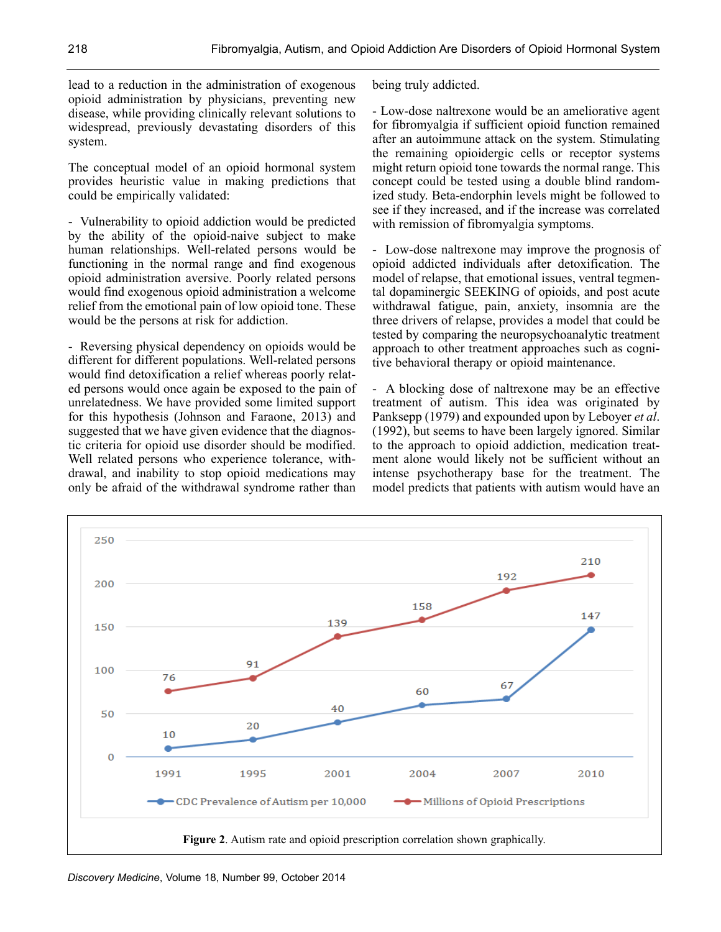lead to a reduction in the administration of exogenous opioid administration by physicians, preventing new disease, while providing clinically relevant solutions to widespread, previously devastating disorders of this system.

The conceptual model of an opioid hormonal system provides heuristic value in making predictions that could be empirically validated:

- Vulnerability to opioid addiction would be predicted by the ability of the opioid-naive subject to make human relationships. Well-related persons would be functioning in the normal range and find exogenous opioid administration aversive. Poorly related persons would find exogenous opioid administration a welcome relief from the emotional pain of low opioid tone. These would be the persons at risk for addiction.

- Reversing physical dependency on opioids would be different for different populations. Well-related persons would find detoxification a relief whereas poorly related persons would once again be exposed to the pain of unrelatedness. We have provided some limited support for this hypothesis (Johnson and Faraone, 2013) and suggested that we have given evidence that the diagnostic criteria for opioid use disorder should be modified. Well related persons who experience tolerance, withdrawal, and inability to stop opioid medications may only be afraid of the withdrawal syndrome rather than being truly addicted.

- Low-dose naltrexone would be an ameliorative agent for fibromyalgia if sufficient opioid function remained after an autoimmune attack on the system. Stimulating the remaining opioidergic cells or receptor systems might return opioid tone towards the normal range. This concept could be tested using a double blind randomized study. Beta-endorphin levels might be followed to see if they increased, and if the increase was correlated with remission of fibromyalgia symptoms.

- Low-dose naltrexone may improve the prognosis of opioid addicted individuals after detoxification. The model of relapse, that emotional issues, ventral tegmental dopaminergic SEEKING of opioids, and post acute withdrawal fatigue, pain, anxiety, insomnia are the three drivers of relapse, provides a model that could be tested by comparing the neuropsychoanalytic treatment approach to other treatment approaches such as cognitive behavioral therapy or opioid maintenance.

- A blocking dose of naltrexone may be an effective treatment of autism. This idea was originated by Panksepp (1979) and expounded upon by Leboyer *et al*. (1992), but seems to have been largely ignored. Similar to the approach to opioid addiction, medication treatment alone would likely not be sufficient without an intense psychotherapy base for the treatment. The model predicts that patients with autism would have an

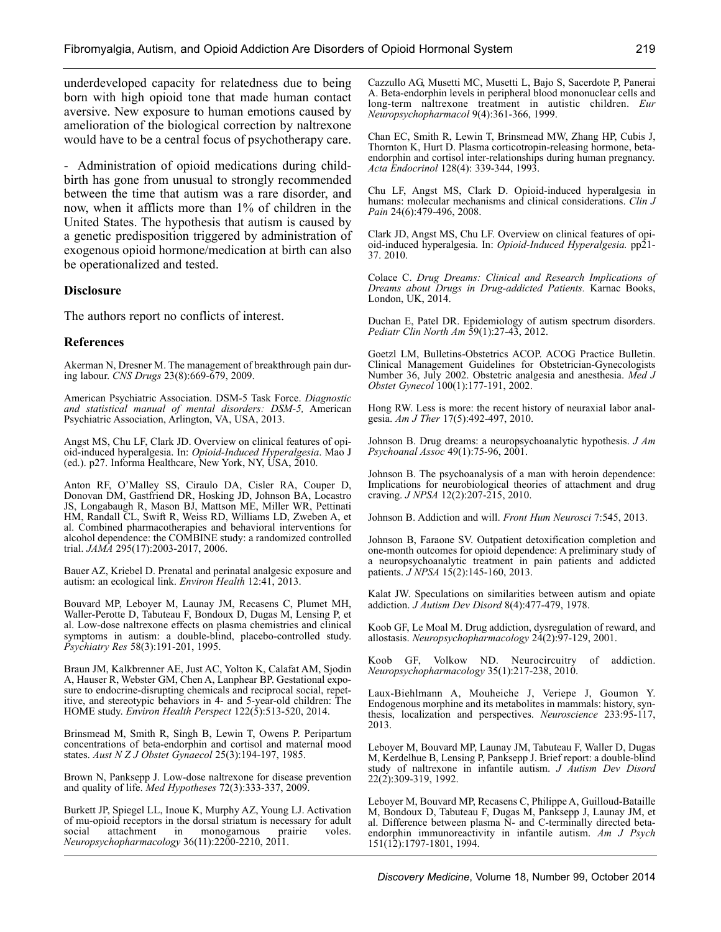underdeveloped capacity for relatedness due to being born with high opioid tone that made human contact aversive. New exposure to human emotions caused by amelioration of the biological correction by naltrexone would have to be a central focus of psychotherapy care.

- Administration of opioid medications during childbirth has gone from unusual to strongly recommended between the time that autism was a rare disorder, and now, when it afflicts more than 1% of children in the United States. The hypothesis that autism is caused by a genetic predisposition triggered by administration of exogenous opioid hormone/medication at birth can also be operationalized and tested.

#### **Disclosure**

The authors report no conflicts of interest.

#### **References**

Akerman N, Dresner M. The management of breakthrough pain during labour. *CNS Drugs* 23(8):669-679, 2009.

American Psychiatric Association. DSM-5 Task Force. *Diagnostic and statistical manual of mental disorders: DSM-5,* American Psychiatric Association, Arlington, VA, USA, 2013.

Angst MS, Chu LF, Clark JD. Overview on clinical features of opioid-induced hyperalgesia. In: *Opioid-Induced Hyperalgesia*. Mao J (ed.). p27. Informa Healthcare, New York, NY, USA, 2010.

Anton RF, O'Malley SS, Ciraulo DA, Cisler RA, Couper D, Donovan DM, Gastfriend DR, Hosking JD, Johnson BA, Locastro JS, Longabaugh R, Mason BJ, Mattson ME, Miller WR, Pettinati HM, Randall CL, Swift R, Weiss RD, Williams LD, Zweben A, et al. Combined pharmacotherapies and behavioral interventions for alcohol dependence: the COMBINE study: a randomized controlled trial. *JAMA* 295(17):2003-2017, 2006.

Bauer AZ, Kriebel D. Prenatal and perinatal analgesic exposure and autism: an ecological link. *Environ Health* 12:41, 2013.

Bouvard MP, Leboyer M, Launay JM, Recasens C, Plumet MH, Waller-Perotte D, Tabuteau F, Bondoux D, Dugas M, Lensing P, et al. Low-dose naltrexone effects on plasma chemistries and clinical symptoms in autism: a double-blind, placebo-controlled study. *Psychiatry Res* 58(3):191-201, 1995.

Braun JM, Kalkbrenner AE, Just AC, Yolton K, Calafat AM, Sjodin A, Hauser R, Webster GM, Chen A, Lanphear BP. Gestational exposure to endocrine-disrupting chemicals and reciprocal social, repetitive, and stereotypic behavi

Brinsmead M, Smith R, Singh B, Lewin T, Owens P. Peripartum concentrations of beta-endorphin and cortisol and maternal mood states. *Aust N Z J Obstet Gynaecol* 25(3):194-197, 1985.

Brown N, Panksepp J. Low-dose naltrexone for disease prevention and quality of life. *Med Hypotheses* 72(3):333-337, 2009.

Burkett JP, Spiegel LL, Inoue K, Murphy AZ, Young LJ. Activation<br>of mu-opioid receptors in the dorsal striatum is necessary for adult<br>social attachment in monogamous prairie voles.<br>Neuropsychopharmacology 36(11):2200-2210,

Cazzullo AG, Musetti MC, Musetti L, Bajo S, Sacerdote P, Panerai A. Beta-endorphin levels in peripheral blood mononuclear cells and long-term naltrexone treatment in autistic children. *Eur Neuropsychopharmacol* 9(4):361-366, 1999.

Chan EC, Smith R, Lewin T, Brinsmead MW, Zhang HP, Cubis J, Thornton K, Hurt D. Plasma corticotropin-releasing hormone, betaendorphin and cortisol inter-relationships during human pregnancy. *Acta Endocrinol* 128(4): 339-344, 1993.

Chu LF, Angst MS, Clark D. Opioid-induced hyperalgesia in humans: molecular mechanisms and clinical considerations. *Clin J Pain* 24(6):479-496, 2008.

Clark JD, Angst MS, Chu LF. Overview on clinical features of opioid-induced hyperalgesia. In: *Opioid-Induced Hyperalgesia.* pp21- 37. 2010.

Colace C. *Drug Dreams: Clinical and Research Implications of Dreams about Drugs in Drug-addicted Patients.* Karnac Books, London, UK, 2014.

Duchan E, Patel DR. Epidemiology of autism spectrum disorders. *Pediatr Clin North Am* 59(1):27-43, 2012.

Goetzl LM, Bulletins-Obstetrics ACOP. ACOG Practice Bulletin. Clinical Management Guidelines for Obstetrician-Gynecologists Number 36, July 2002. Obstetric analgesia and anesthesia. *Med J Obstet Gynecol* 100(1):177-191, 2002.

Hong RW. Less is more: the recent history of neuraxial labor analgesia. *Am J Ther* 17(5):492-497, 2010.

Johnson B. Drug dreams: a neuropsychoanalytic hypothesis. *J Am Psychoanal Assoc* 49(1):75-96, 2001.

Johnson B. The psychoanalysis of a man with heroin dependence: Implications for neurobiological theories of attachment and drug craving. *J NPSA* 12(2):207-215, 2010.

Johnson B. Addiction and will. *Front Hum Neurosci* 7:545, 2013.

Johnson B, Faraone SV. Outpatient detoxification completion and one-month outcomes for opioid dependence: A preliminary study of a neuropsychoanalytic treatment in pain patients and addicted patients. *J NPSA* 15(2):145-160, 2013.

Kalat JW. Speculations on similarities between autism and opiate addiction. *<sup>J</sup> Autism Dev Disord* 8(4):477-479, 1978.

Koob GF, Le Moal M. Drug addiction, dysregulation of reward, and allostasis. *Neuropsychopharmacology* 24(2):97-129, 2001.

Koob GF, Volkow ND. Neurocircuitry of addiction. *Neuropsychopharmacology* 35(1):217-238, 2010.

Laux-Biehlmann A, Mouheiche J, Veriepe J, Goumon Y. Endogenous morphine and its metabolites in mammals: history, synthesis, localization and perspectives. *Neuroscience* 233:95-117, 2013.

Leboyer M, Bouvard MP, Launay JM, Tabuteau F, Waller D, Dugas M, Kerdelhue B, Lensing P, Panksepp J. Brief report: a double-blind study of naltrexone in infantile autism. *J Autism Dev Disord* 22(2):309-319, 1992.

Leboyer M, Bouvard MP, Recasens C, Philippe A, Guilloud-Bataille M, Bondoux D, Tabuteau F, Dugas M, Panksepp J, Launay JM, et al. Difference between plasma N- and C-terminally directed betaendorphin immunoreactivity in infantile autism. *Am J Psych* 151(12):1797-1801, 1994.